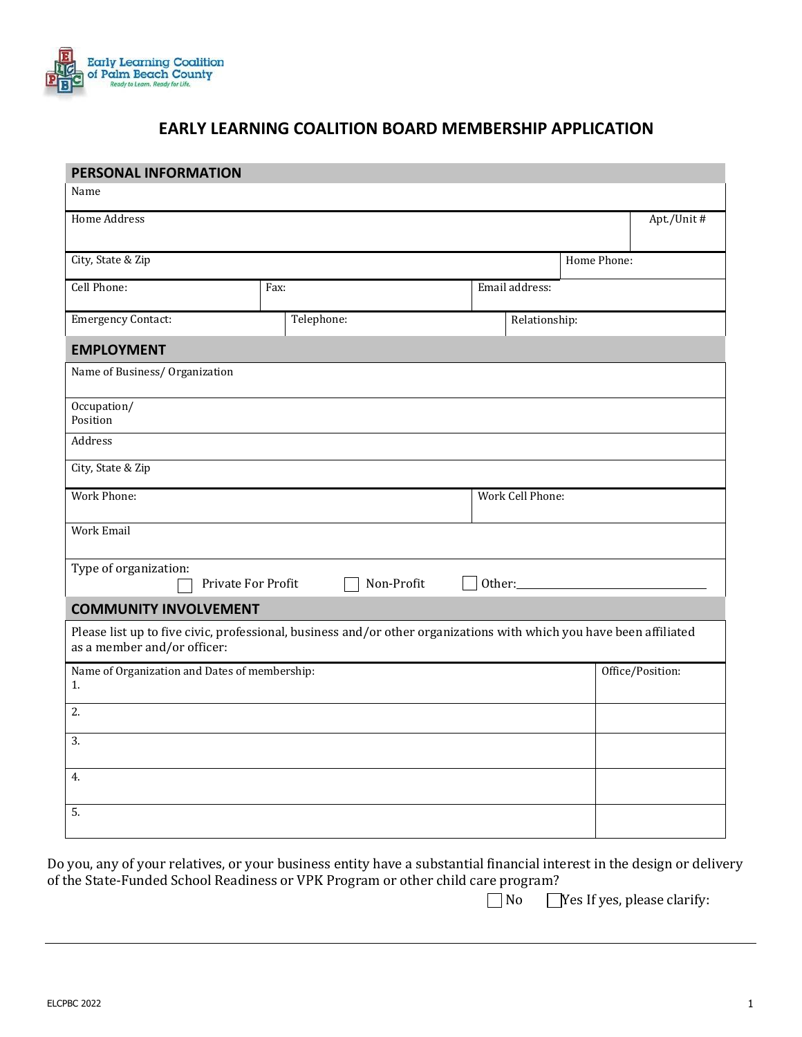

## **EARLY LEARNING COALITION BOARD MEMBERSHIP APPLICATION**

| Name<br><b>Home Address</b><br>Apt./Unit #<br>City, State & Zip<br>Home Phone:<br>Cell Phone:<br>Email address:<br>Fax:<br><b>Emergency Contact:</b><br>Telephone:<br>Relationship:<br><b>EMPLOYMENT</b><br>Name of Business/ Organization<br>Occupation/<br>Position<br>Address<br>City, State & Zip<br><b>Work Phone:</b><br>Work Cell Phone:<br>Work Email<br>Type of organization:<br>Private For Profit<br>Non-Profit<br>Other:<br><b>COMMUNITY INVOLVEMENT</b><br>Please list up to five civic, professional, business and/or other organizations with which you have been affiliated<br>as a member and/or officer:<br>Name of Organization and Dates of membership:<br>Office/Position:<br>1.<br>2.<br>3.<br>4. | <b>PERSONAL INFORMATION</b> |  |  |  |  |  |  |  |  |
|-------------------------------------------------------------------------------------------------------------------------------------------------------------------------------------------------------------------------------------------------------------------------------------------------------------------------------------------------------------------------------------------------------------------------------------------------------------------------------------------------------------------------------------------------------------------------------------------------------------------------------------------------------------------------------------------------------------------------|-----------------------------|--|--|--|--|--|--|--|--|
|                                                                                                                                                                                                                                                                                                                                                                                                                                                                                                                                                                                                                                                                                                                         |                             |  |  |  |  |  |  |  |  |
|                                                                                                                                                                                                                                                                                                                                                                                                                                                                                                                                                                                                                                                                                                                         |                             |  |  |  |  |  |  |  |  |
|                                                                                                                                                                                                                                                                                                                                                                                                                                                                                                                                                                                                                                                                                                                         |                             |  |  |  |  |  |  |  |  |
|                                                                                                                                                                                                                                                                                                                                                                                                                                                                                                                                                                                                                                                                                                                         |                             |  |  |  |  |  |  |  |  |
|                                                                                                                                                                                                                                                                                                                                                                                                                                                                                                                                                                                                                                                                                                                         |                             |  |  |  |  |  |  |  |  |
|                                                                                                                                                                                                                                                                                                                                                                                                                                                                                                                                                                                                                                                                                                                         |                             |  |  |  |  |  |  |  |  |
|                                                                                                                                                                                                                                                                                                                                                                                                                                                                                                                                                                                                                                                                                                                         |                             |  |  |  |  |  |  |  |  |
|                                                                                                                                                                                                                                                                                                                                                                                                                                                                                                                                                                                                                                                                                                                         |                             |  |  |  |  |  |  |  |  |
|                                                                                                                                                                                                                                                                                                                                                                                                                                                                                                                                                                                                                                                                                                                         |                             |  |  |  |  |  |  |  |  |
|                                                                                                                                                                                                                                                                                                                                                                                                                                                                                                                                                                                                                                                                                                                         |                             |  |  |  |  |  |  |  |  |
|                                                                                                                                                                                                                                                                                                                                                                                                                                                                                                                                                                                                                                                                                                                         |                             |  |  |  |  |  |  |  |  |
|                                                                                                                                                                                                                                                                                                                                                                                                                                                                                                                                                                                                                                                                                                                         |                             |  |  |  |  |  |  |  |  |
|                                                                                                                                                                                                                                                                                                                                                                                                                                                                                                                                                                                                                                                                                                                         |                             |  |  |  |  |  |  |  |  |
|                                                                                                                                                                                                                                                                                                                                                                                                                                                                                                                                                                                                                                                                                                                         |                             |  |  |  |  |  |  |  |  |
|                                                                                                                                                                                                                                                                                                                                                                                                                                                                                                                                                                                                                                                                                                                         |                             |  |  |  |  |  |  |  |  |
|                                                                                                                                                                                                                                                                                                                                                                                                                                                                                                                                                                                                                                                                                                                         |                             |  |  |  |  |  |  |  |  |
|                                                                                                                                                                                                                                                                                                                                                                                                                                                                                                                                                                                                                                                                                                                         |                             |  |  |  |  |  |  |  |  |
|                                                                                                                                                                                                                                                                                                                                                                                                                                                                                                                                                                                                                                                                                                                         |                             |  |  |  |  |  |  |  |  |
|                                                                                                                                                                                                                                                                                                                                                                                                                                                                                                                                                                                                                                                                                                                         |                             |  |  |  |  |  |  |  |  |
|                                                                                                                                                                                                                                                                                                                                                                                                                                                                                                                                                                                                                                                                                                                         |                             |  |  |  |  |  |  |  |  |
|                                                                                                                                                                                                                                                                                                                                                                                                                                                                                                                                                                                                                                                                                                                         | 5.                          |  |  |  |  |  |  |  |  |

Do you, any of your relatives, or your business entity have a substantial financial interest in the design or delivery of the State-Funded School Readiness or VPK Program or other child care program?

No **No** Yes If yes, please clarify: